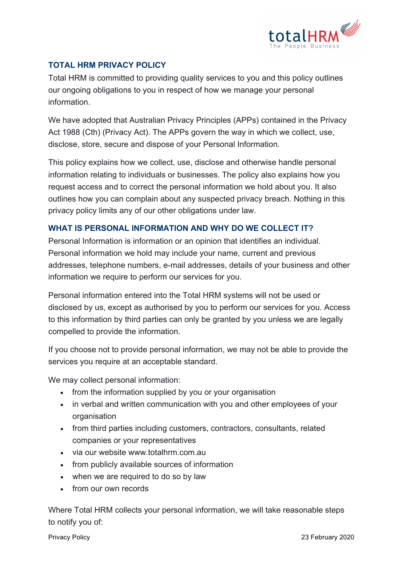

# **TOTAL HRM PRIVACY POLICY**

Total HRM is committed to providing quality services to you and this policy outlines our ongoing obligations to you in respect of how we manage your personal information.

We have adopted that Australian Privacy Principles (APPs) contained in the Privacy Act 1988 (Cth) (Privacy Act). The APPs govern the way in which we collect, use, disclose, store, secure and dispose of your Personal Information.

This policy explains how we collect, use, disclose and otherwise handle personal information relating to individuals or businesses. The policy also explains how you request access and to correct the personal information we hold about you. It also outlines how you can complain about any suspected privacy breach. Nothing in this privacy policy limits any of our other obligations under law.

## **WHAT IS PERSONAL INFORMATION AND WHY DO WE COLLECT IT?**

Personal Information is information or an opinion that identifies an individual. Personal information we hold may include your name, current and previous addresses, telephone numbers, e-mail addresses, details of your business and other information we require to perform our services for you.

Personal information entered into the Total HRM systems will not be used or disclosed by us, except as authorised by you to perform our services for you. Access to this information by third parties can only be granted by you unless we are legally compelled to provide the information.

If you choose not to provide personal information, we may not be able to provide the services you require at an acceptable standard.

We may collect personal information:

- from the information supplied by you or your organisation
- in verbal and written communication with you and other employees of your organisation
- from third parties including customers, contractors, consultants, related companies or your representatives
- via our website www.totalhrm.com.au
- from publicly available sources of information
- when we are required to do so by law
- from our own records

Where Total HRM collects your personal information, we will take reasonable steps to notify you of: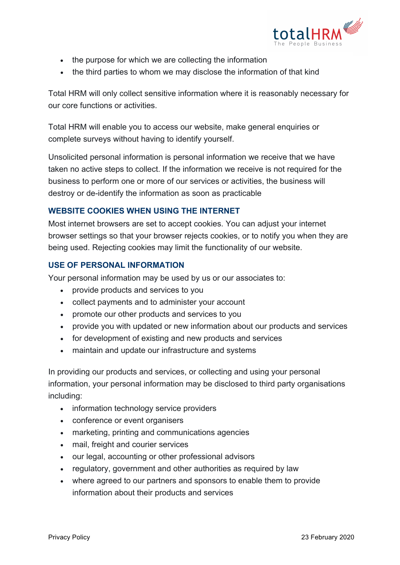

- the purpose for which we are collecting the information
- the third parties to whom we may disclose the information of that kind

Total HRM will only collect sensitive information where it is reasonably necessary for our core functions or activities.

Total HRM will enable you to access our website, make general enquiries or complete surveys without having to identify yourself.

Unsolicited personal information is personal information we receive that we have taken no active steps to collect. If the information we receive is not required for the business to perform one or more of our services or activities, the business will destroy or de-identify the information as soon as practicable

## **WEBSITE COOKIES WHEN USING THE INTERNET**

Most internet browsers are set to accept cookies. You can adjust your internet browser settings so that your browser rejects cookies, or to notify you when they are being used. Rejecting cookies may limit the functionality of our website.

#### **USE OF PERSONAL INFORMATION**

Your personal information may be used by us or our associates to:

- provide products and services to you
- collect payments and to administer your account
- promote our other products and services to you
- provide you with updated or new information about our products and services
- for development of existing and new products and services
- maintain and update our infrastructure and systems

In providing our products and services, or collecting and using your personal information, your personal information may be disclosed to third party organisations including:

- information technology service providers
- conference or event organisers
- marketing, printing and communications agencies
- mail, freight and courier services
- our legal, accounting or other professional advisors
- regulatory, government and other authorities as required by law
- where agreed to our partners and sponsors to enable them to provide information about their products and services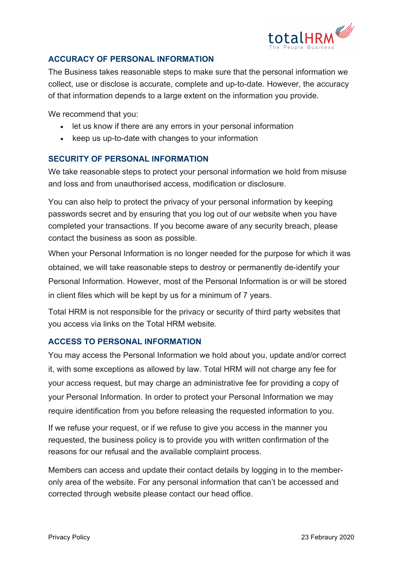

## **ACCURACY OF PERSONAL INFORMATION**

The Business takes reasonable steps to make sure that the personal information we collect, use or disclose is accurate, complete and up-to-date. However, the accuracy of that information depends to a large extent on the information you provide.

We recommend that you:

- let us know if there are any errors in your personal information
- keep us up-to-date with changes to your information

#### **SECURITY OF PERSONAL INFORMATION**

We take reasonable steps to protect your personal information we hold from misuse and loss and from unauthorised access, modification or disclosure.

You can also help to protect the privacy of your personal information by keeping passwords secret and by ensuring that you log out of our website when you have completed your transactions. If you become aware of any security breach, please contact the business as soon as possible.

When your Personal Information is no longer needed for the purpose for which it was obtained, we will take reasonable steps to destroy or permanently de-identify your Personal Information. However, most of the Personal Information is or will be stored in client files which will be kept by us for a minimum of 7 years.

Total HRM is not responsible for the privacy or security of third party websites that you access via links on the Total HRM website.

#### **ACCESS TO PERSONAL INFORMATION**

You may access the Personal Information we hold about you, update and/or correct it, with some exceptions as allowed by law. Total HRM will not charge any fee for your access request, but may charge an administrative fee for providing a copy of your Personal Information. In order to protect your Personal Information we may require identification from you before releasing the requested information to you.

If we refuse your request, or if we refuse to give you access in the manner you requested, the business policy is to provide you with written confirmation of the reasons for our refusal and the available complaint process.

Members can access and update their contact details by logging in to the memberonly area of the website. For any personal information that can't be accessed and corrected through website please contact our head office.